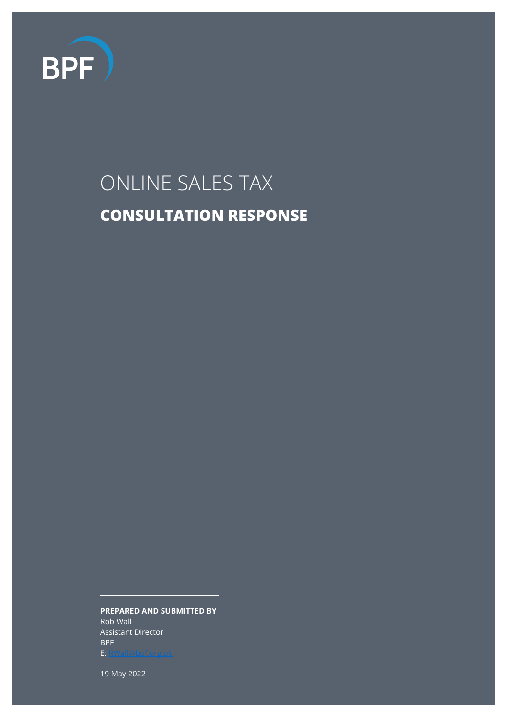

# ONLINE SALES TAX **CONSULTATION RESPONSE**

**PREPARED AND SUBMITTED BY**

Rob Wall Assistant Director BPF E[: RWall@bpf.org.uk](mailto:RWall@bpf.org.uk)<br>E: RWall@bpf.org.uk

19 May 2022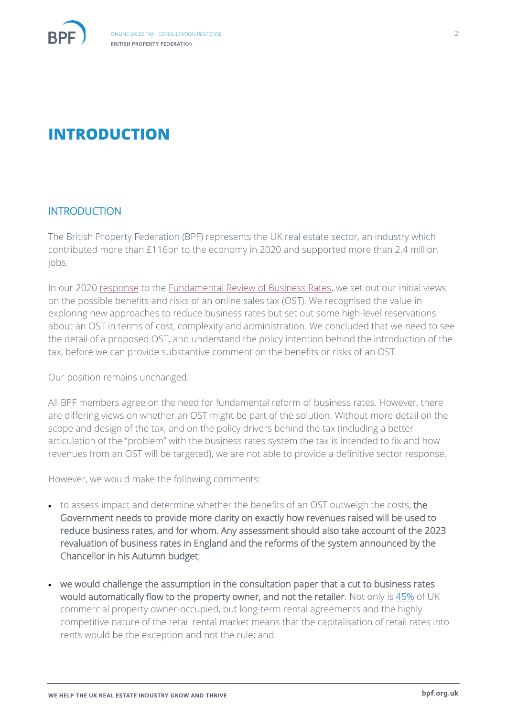

# **INTRODUCTION**

#### **INTRODUCTION**

The British Property Federation (BPF) represents the UK real estate sector, an industry which contributed more than £116bn to the economy in 2020 and supported more than 2.4 million jobs.

In our 2020 [response](https://bpf.org.uk/media/3362/bpf-response-bus-rates-cfe-tranche-2-30-oct-2020-2.pdf) to the [Fundamental Review of Business Rates,](https://assets.publishing.service.gov.uk/government/uploads/system/uploads/attachment_data/file/903429/Business_Rates_Review_-_CfE.pdf) we set out our initial views on the possible benefits and risks of an online sales tax (OST). We recognised the value in exploring new approaches to reduce business rates but set out some high-level reservations about an OST in terms of cost, complexity and administration. We concluded that we need to see the detail of a proposed OST, and understand the policy intention behind the introduction of the tax, before we can provide substantive comment on the benefits or risks of an OST.

Our position remains unchanged.

All BPF members agree on the need for fundamental reform of business rates. However, there are differing views on whether an OST might be part of the solution. Without more detail on the scope and design of the tax, and on the policy drivers behind the tax (including a better articulation of the "problem" with the business rates system the tax is intended to fix and how revenues from an OST will be targeted), we are not able to provide a definitive sector response.

However, we would make the following comments:

- to assess impact and determine whether the benefits of an OST outweigh the costs, the Government needs to provide more clarity on exactly how revenues raised will be used to reduce business rates, and for whom. Any assessment should also take account of the 2023 revaluation of business rates in England and the reforms of the system announced by the Chancellor in his Autumn budget;
- we would challenge the assumption in the consultation paper that a cut to business rates would automatically flow to the property owner, and not the retailer. Not only is [45%](https://bpf.org.uk/media/3278/bpf-pia-property-report-2017-final.pdf) of UK commercial property owner-occupied, but long-term rental agreements and the highly competitive nature of the retail rental market means that the capitalisation of retail rates into rents would be the exception and not the rule; and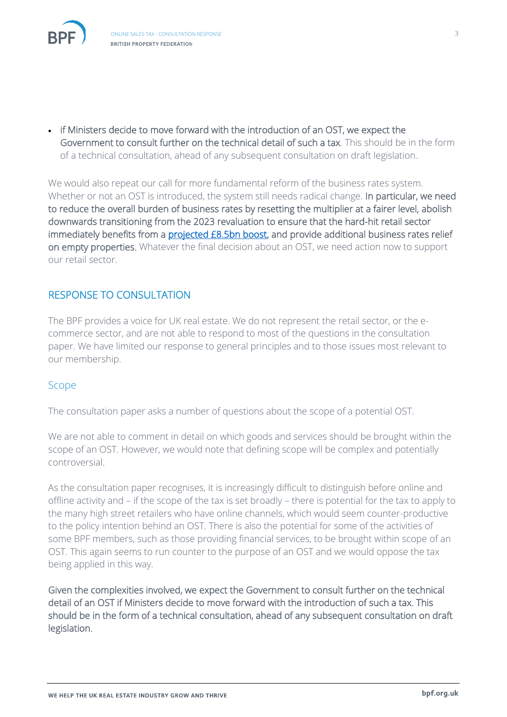

• if Ministers decide to move forward with the introduction of an OST, we expect the Government to consult further on the technical detail of such a tax. This should be in the form of a technical consultation, ahead of any subsequent consultation on draft legislation.

We would also repeat our call for more fundamental reform of the business rates system. Whether or not an OST is introduced, the system still needs radical change. In particular, we need to reduce the overall burden of business rates by resetting the multiplier at a fairer level, abolish downwards transitioning from the 2023 revaluation to ensure that the hard-hit retail sector immediately benefits from a [projected £8.5bn boost,](https://bpf.org.uk/media/press-releases/emergency-intervention-on-business-rates-can-bring-forward-85bn-boost-for-high-streets/) and provide additional business rates relief on empty properties. Whatever the final decision about an OST, we need action now to support our retail sector.

## RESPONSE TO CONSULTATION

The BPF provides a voice for UK real estate. We do not represent the retail sector, or the ecommerce sector, and are not able to respond to most of the questions in the consultation paper. We have limited our response to general principles and to those issues most relevant to our membership.

#### Scope

The consultation paper asks a number of questions about the scope of a potential OST.

We are not able to comment in detail on which goods and services should be brought within the scope of an OST. However, we would note that defining scope will be complex and potentially controversial.

As the consultation paper recognises, it is increasingly difficult to distinguish before online and offline activity and – if the scope of the tax is set broadly – there is potential for the tax to apply to the many high street retailers who have online channels, which would seem counter-productive to the policy intention behind an OST. There is also the potential for some of the activities of some BPF members, such as those providing financial services, to be brought within scope of an OST. This again seems to run counter to the purpose of an OST and we would oppose the tax being applied in this way.

Given the complexities involved, we expect the Government to consult further on the technical detail of an OST if Ministers decide to move forward with the introduction of such a tax. This should be in the form of a technical consultation, ahead of any subsequent consultation on draft legislation.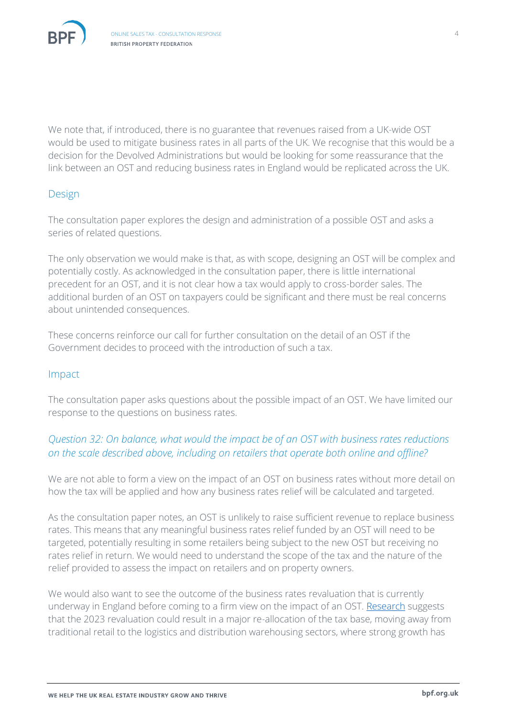

We note that, if introduced, there is no guarantee that revenues raised from a UK-wide OST would be used to mitigate business rates in all parts of the UK. We recognise that this would be a decision for the Devolved Administrations but would be looking for some reassurance that the link between an OST and reducing business rates in England would be replicated across the UK.

#### Design

The consultation paper explores the design and administration of a possible OST and asks a series of related questions.

The only observation we would make is that, as with scope, designing an OST will be complex and potentially costly. As acknowledged in the consultation paper, there is little international precedent for an OST, and it is not clear how a tax would apply to cross-border sales. The additional burden of an OST on taxpayers could be significant and there must be real concerns about unintended consequences.

These concerns reinforce our call for further consultation on the detail of an OST if the Government decides to proceed with the introduction of such a tax.

#### Impact

The consultation paper asks questions about the possible impact of an OST. We have limited our response to the questions on business rates.

## *Question 32: On balance, what would the impact be of an OST with business rates reductions on the scale described above, including on retailers that operate both online and offline?*

We are not able to form a view on the impact of an OST on business rates without more detail on how the tax will be applied and how any business rates relief will be calculated and targeted.

As the consultation paper notes, an OST is unlikely to raise sufficient revenue to replace business rates. This means that any meaningful business rates relief funded by an OST will need to be targeted, potentially resulting in some retailers being subject to the new OST but receiving no rates relief in return. We would need to understand the scope of the tax and the nature of the relief provided to assess the impact on retailers and on property owners.

We would also want to see the outcome of the business rates revaluation that is currently underway in England before coming to a firm view on the impact of an OST. [Research](https://www.avisonyoung.co.uk/revaluation-2023) suggests that the 2023 revaluation could result in a major re-allocation of the tax base, moving away from traditional retail to the logistics and distribution warehousing sectors, where strong growth has